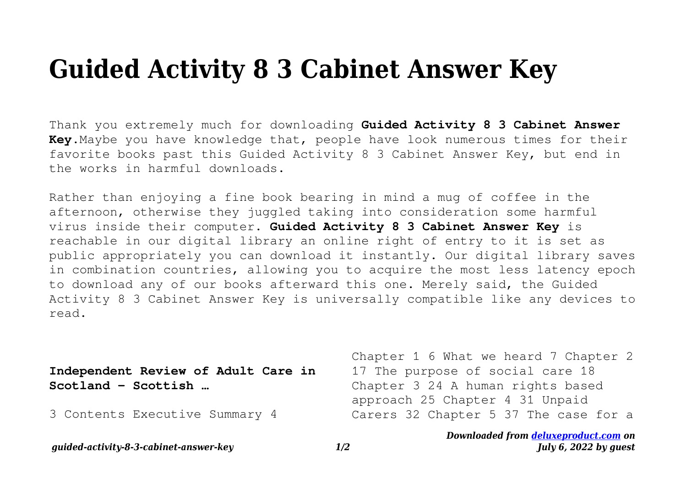## **Guided Activity 8 3 Cabinet Answer Key**

Thank you extremely much for downloading **Guided Activity 8 3 Cabinet Answer Key**.Maybe you have knowledge that, people have look numerous times for their favorite books past this Guided Activity 8 3 Cabinet Answer Key, but end in the works in harmful downloads.

Rather than enjoying a fine book bearing in mind a mug of coffee in the afternoon, otherwise they juggled taking into consideration some harmful virus inside their computer. **Guided Activity 8 3 Cabinet Answer Key** is reachable in our digital library an online right of entry to it is set as public appropriately you can download it instantly. Our digital library saves in combination countries, allowing you to acquire the most less latency epoch to download any of our books afterward this one. Merely said, the Guided Activity 8 3 Cabinet Answer Key is universally compatible like any devices to read.

| Independent Review of Adult Care in<br>$Scottand - Scottish $ | Chapter 1 6 What we heard 7 Chapter 2<br>17 The purpose of social care 18<br>Chapter 3 24 A human rights based<br>approach 25 Chapter 4 31 Unpaid |
|---------------------------------------------------------------|---------------------------------------------------------------------------------------------------------------------------------------------------|
| 3 Contents Executive Summary 4                                | Carers 32 Chapter 5 37 The case for a                                                                                                             |

*Downloaded from [deluxeproduct.com](http://deluxeproduct.com) on July 6, 2022 by guest*